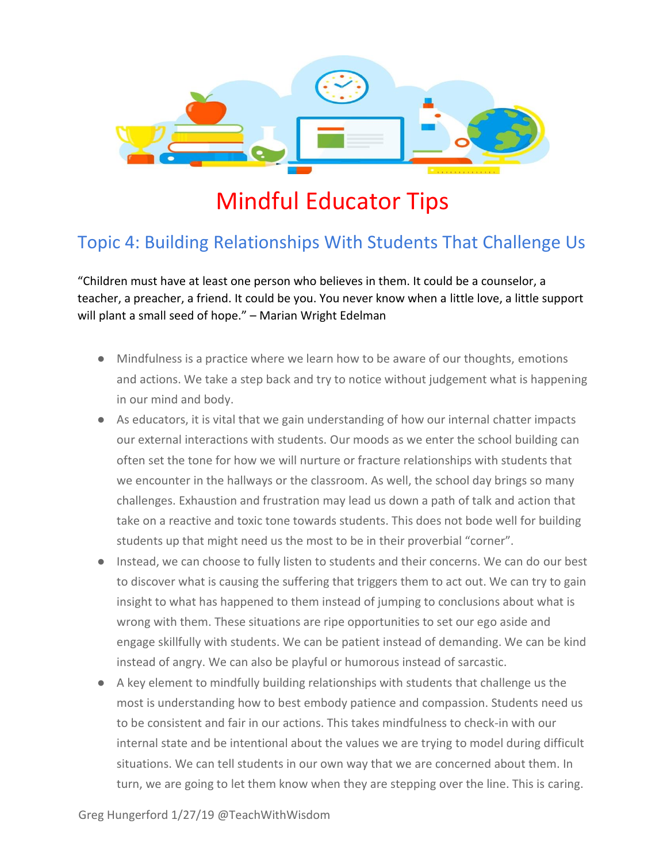

## Mindful Educator Tips

## Topic 4: Building Relationships With Students That Challenge Us

"Children must have at least one person who believes in them. It could be a counselor, a teacher, a preacher, a friend. It could be you. You never know when a little love, a little support will plant a small seed of hope." – Marian Wright Edelman

- Mindfulness is a practice where we learn how to be aware of our thoughts, emotions and actions. We take a step back and try to notice without judgement what is happening in our mind and body.
- As educators, it is vital that we gain understanding of how our internal chatter impacts our external interactions with students. Our moods as we enter the school building can often set the tone for how we will nurture or fracture relationships with students that we encounter in the hallways or the classroom. As well, the school day brings so many challenges. Exhaustion and frustration may lead us down a path of talk and action that take on a reactive and toxic tone towards students. This does not bode well for building students up that might need us the most to be in their proverbial "corner".
- Instead, we can choose to fully listen to students and their concerns. We can do our best to discover what is causing the suffering that triggers them to act out. We can try to gain insight to what has happened to them instead of jumping to conclusions about what is wrong with them. These situations are ripe opportunities to set our ego aside and engage skillfully with students. We can be patient instead of demanding. We can be kind instead of angry. We can also be playful or humorous instead of sarcastic.
- A key element to mindfully building relationships with students that challenge us the most is understanding how to best embody patience and compassion. Students need us to be consistent and fair in our actions. This takes mindfulness to check-in with our internal state and be intentional about the values we are trying to model during difficult situations. We can tell students in our own way that we are concerned about them. In turn, we are going to let them know when they are stepping over the line. This is caring.